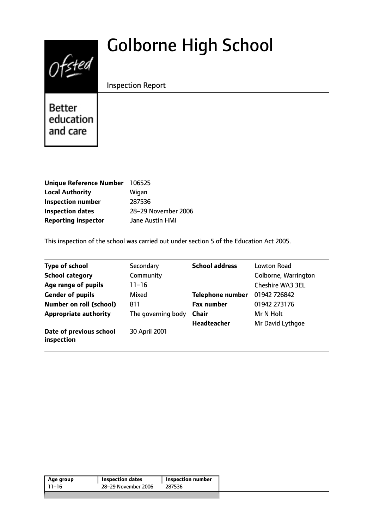# $0$ fsted

# Golborne High School

Inspection Report

**Better** education and care

| <b>Unique Reference Number</b> | 106525              |
|--------------------------------|---------------------|
| <b>Local Authority</b>         | Wigan               |
| <b>Inspection number</b>       | 287536              |
| <b>Inspection dates</b>        | 28-29 November 2006 |
| <b>Reporting inspector</b>     | Jane Austin HMI     |

This inspection of the school was carried out under section 5 of the Education Act 2005.

| <b>Type of school</b>                 | Secondary          | <b>School address</b>   | Lowton Road             |
|---------------------------------------|--------------------|-------------------------|-------------------------|
| <b>School category</b>                | Community          |                         | Golborne, Warrington    |
| Age range of pupils                   | $11 - 16$          |                         | <b>Cheshire WA3 3EL</b> |
| <b>Gender of pupils</b>               | Mixed              | <b>Telephone number</b> | 01942 726842            |
| <b>Number on roll (school)</b>        | 811                | <b>Fax number</b>       | 01942 273176            |
| <b>Appropriate authority</b>          | The governing body | <b>Chair</b>            | Mr N Holt               |
|                                       |                    | <b>Headteacher</b>      | Mr David Lythgoe        |
| Date of previous school<br>inspection | 30 April 2001      |                         |                         |

| 28-29 November 2006<br>11–16<br>287536 | Age group | <b>Inspection dates</b> | <b>Inspection number</b> |
|----------------------------------------|-----------|-------------------------|--------------------------|
|                                        |           |                         |                          |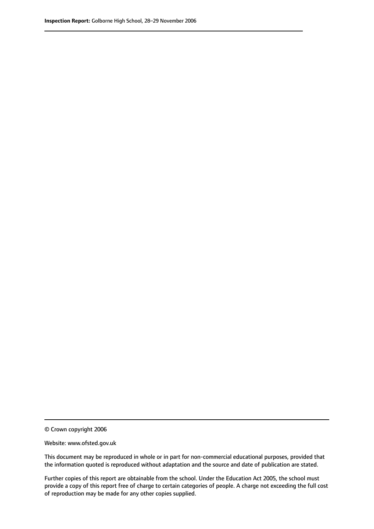© Crown copyright 2006

Website: www.ofsted.gov.uk

This document may be reproduced in whole or in part for non-commercial educational purposes, provided that the information quoted is reproduced without adaptation and the source and date of publication are stated.

Further copies of this report are obtainable from the school. Under the Education Act 2005, the school must provide a copy of this report free of charge to certain categories of people. A charge not exceeding the full cost of reproduction may be made for any other copies supplied.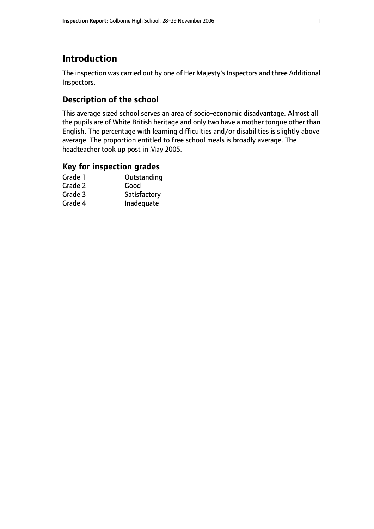# **Introduction**

The inspection was carried out by one of Her Majesty's Inspectors and three Additional Inspectors.

#### **Description of the school**

This average sized school serves an area of socio-economic disadvantage. Almost all the pupils are of White British heritage and only two have a mother tongue other than English. The percentage with learning difficulties and/or disabilities is slightly above average. The proportion entitled to free school meals is broadly average. The headteacher took up post in May 2005.

### **Key for inspection grades**

| Grade 1 | Outstanding  |
|---------|--------------|
| Grade 2 | Good         |
| Grade 3 | Satisfactory |
| Grade 4 | Inadequate   |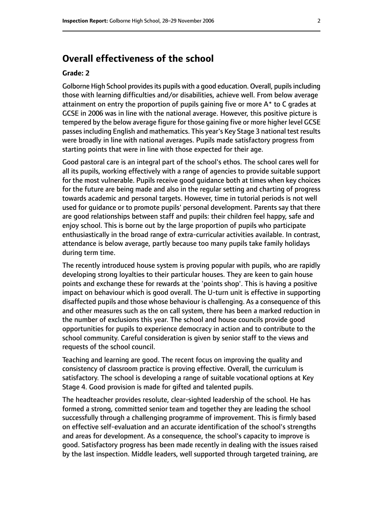# **Overall effectiveness of the school**

#### **Grade: 2**

Golborne High School provides its pupils with a good education. Overall, pupils including those with learning difficulties and/or disabilities, achieve well. From below average attainment on entry the proportion of pupils gaining five or more A\* to C grades at GCSE in 2006 was in line with the national average. However, this positive picture is tempered by the below average figure for those gaining five or more higher level GCSE passesincluding English and mathematics. This year's Key Stage 3 national test results were broadly in line with national averages. Pupils made satisfactory progress from starting points that were in line with those expected for their age.

Good pastoral care is an integral part of the school's ethos. The school cares well for all its pupils, working effectively with a range of agencies to provide suitable support for the most vulnerable. Pupils receive good guidance both at times when key choices for the future are being made and also in the regular setting and charting of progress towards academic and personal targets. However, time in tutorial periods is not well used for guidance or to promote pupils' personal development. Parents say that there are good relationships between staff and pupils: their children feel happy, safe and enjoy school. This is borne out by the large proportion of pupils who participate enthusiastically in the broad range of extra-curricular activities available. In contrast, attendance is below average, partly because too many pupils take family holidays during term time.

The recently introduced house system is proving popular with pupils, who are rapidly developing strong loyalties to their particular houses. They are keen to gain house points and exchange these for rewards at the 'points shop'. This is having a positive impact on behaviour which is good overall. The U-turn unit is effective in supporting disaffected pupils and those whose behaviour is challenging. As a consequence of this and other measures such as the on call system, there has been a marked reduction in the number of exclusions this year. The school and house councils provide good opportunities for pupils to experience democracy in action and to contribute to the school community. Careful consideration is given by senior staff to the views and requests of the school council.

Teaching and learning are good. The recent focus on improving the quality and consistency of classroom practice is proving effective. Overall, the curriculum is satisfactory. The school is developing a range of suitable vocational options at Key Stage 4. Good provision is made for gifted and talented pupils.

The headteacher provides resolute, clear-sighted leadership of the school. He has formed a strong, committed senior team and together they are leading the school successfully through a challenging programme of improvement. This is firmly based on effective self-evaluation and an accurate identification of the school's strengths and areas for development. As a consequence, the school's capacity to improve is good. Satisfactory progress has been made recently in dealing with the issues raised by the last inspection. Middle leaders, well supported through targeted training, are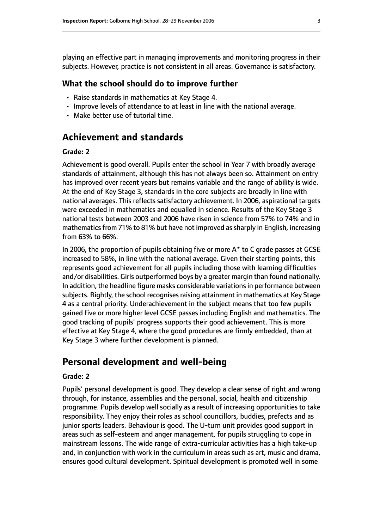playing an effective part in managing improvements and monitoring progress in their subjects. However, practice is not consistent in all areas. Governance is satisfactory.

#### **What the school should do to improve further**

- Raise standards in mathematics at Key Stage 4.
- Improve levels of attendance to at least in line with the national average.
- Make better use of tutorial time.

# **Achievement and standards**

#### **Grade: 2**

Achievement is good overall. Pupils enter the school in Year 7 with broadly average standards of attainment, although this has not always been so. Attainment on entry has improved over recent years but remains variable and the range of ability is wide. At the end of Key Stage 3, standards in the core subjects are broadly in line with national averages. This reflects satisfactory achievement. In 2006, aspirational targets were exceeded in mathematics and equalled in science. Results of the Key Stage 3 national tests between 2003 and 2006 have risen in science from 57% to 74% and in mathematics from 71% to 81% but have not improved as sharply in English, increasing from 63% to 66%.

In 2006, the proportion of pupils obtaining five or more A\* to C grade passes at GCSE increased to 58%, in line with the national average. Given their starting points, this represents good achievement for all pupils including those with learning difficulties and/or disabilities. Girls outperformed boys by a greater margin than found nationally. In addition, the headline figure masks considerable variationsin performance between subjects. Rightly, the school recognises raising attainment in mathematics at Key Stage 4 as a central priority. Underachievement in the subject means that too few pupils gained five or more higher level GCSE passes including English and mathematics. The good tracking of pupils' progress supports their good achievement. This is more effective at Key Stage 4, where the good procedures are firmly embedded, than at Key Stage 3 where further development is planned.

# **Personal development and well-being**

#### **Grade: 2**

Pupils' personal development is good. They develop a clear sense of right and wrong through, for instance, assemblies and the personal, social, health and citizenship programme. Pupils develop well socially as a result of increasing opportunities to take responsibility. They enjoy their roles as school councillors, buddies, prefects and as junior sports leaders. Behaviour is good. The U-turn unit provides good support in areas such as self-esteem and anger management, for pupils struggling to cope in mainstream lessons. The wide range of extra-curricular activities has a high take-up and, in conjunction with work in the curriculum in areas such as art, music and drama, ensures good cultural development. Spiritual development is promoted well in some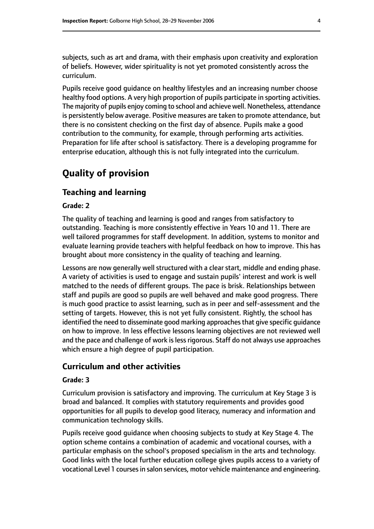subjects, such as art and drama, with their emphasis upon creativity and exploration of beliefs. However, wider spirituality is not yet promoted consistently across the curriculum.

Pupils receive good guidance on healthy lifestyles and an increasing number choose healthy food options. A very high proportion of pupils participate in sporting activities. The majority of pupils enjoy coming to school and achieve well. Nonetheless, attendance is persistently below average. Positive measures are taken to promote attendance, but there is no consistent checking on the first day of absence. Pupils make a good contribution to the community, for example, through performing arts activities. Preparation for life after school is satisfactory. There is a developing programme for enterprise education, although this is not fully integrated into the curriculum.

# **Quality of provision**

#### **Teaching and learning**

#### **Grade: 2**

The quality of teaching and learning is good and ranges from satisfactory to outstanding. Teaching is more consistently effective in Years 10 and 11. There are well tailored programmes for staff development. In addition, systems to monitor and evaluate learning provide teachers with helpful feedback on how to improve. This has brought about more consistency in the quality of teaching and learning.

Lessons are now generally well structured with a clear start, middle and ending phase. A variety of activities is used to engage and sustain pupils' interest and work is well matched to the needs of different groups. The pace is brisk. Relationships between staff and pupils are good so pupils are well behaved and make good progress. There is much good practice to assist learning, such as in peer and self-assessment and the setting of targets. However, this is not yet fully consistent. Rightly, the school has identified the need to disseminate good marking approaches that give specific guidance on how to improve. In less effective lessons learning objectives are not reviewed well and the pace and challenge of work is less rigorous. Staff do not always use approaches which ensure a high degree of pupil participation.

#### **Curriculum and other activities**

#### **Grade: 3**

Curriculum provision is satisfactory and improving. The curriculum at Key Stage 3 is broad and balanced. It complies with statutory requirements and provides good opportunities for all pupils to develop good literacy, numeracy and information and communication technology skills.

Pupils receive good guidance when choosing subjects to study at Key Stage 4. The option scheme contains a combination of academic and vocational courses, with a particular emphasis on the school's proposed specialism in the arts and technology. Good links with the local further education college gives pupils access to a variety of vocational Level 1 courses in salon services, motor vehicle maintenance and engineering.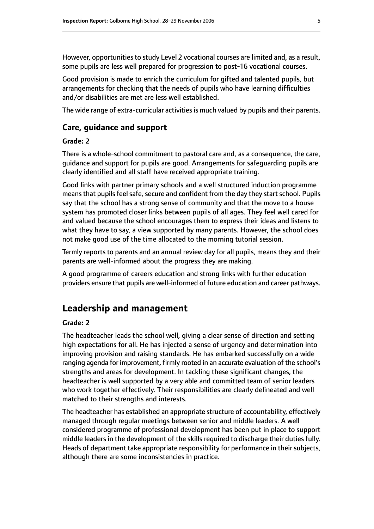However, opportunities to study Level 2 vocational courses are limited and, as a result, some pupils are less well prepared for progression to post-16 vocational courses.

Good provision is made to enrich the curriculum for gifted and talented pupils, but arrangements for checking that the needs of pupils who have learning difficulties and/or disabilities are met are less well established.

The wide range of extra-curricular activities is much valued by pupils and their parents.

#### **Care, guidance and support**

#### **Grade: 2**

There is a whole-school commitment to pastoral care and, as a consequence, the care, guidance and support for pupils are good. Arrangements for safeguarding pupils are clearly identified and all staff have received appropriate training.

Good links with partner primary schools and a well structured induction programme means that pupils feel safe, secure and confident from the day they start school. Pupils say that the school has a strong sense of community and that the move to a house system has promoted closer links between pupils of all ages. They feel well cared for and valued because the school encourages them to express their ideas and listens to what they have to say, a view supported by many parents. However, the school does not make good use of the time allocated to the morning tutorial session.

Termly reports to parents and an annual review day for all pupils, means they and their parents are well-informed about the progress they are making.

A good programme of careers education and strong links with further education providers ensure that pupils are well-informed of future education and career pathways.

# **Leadership and management**

#### **Grade: 2**

The headteacher leads the school well, giving a clear sense of direction and setting high expectations for all. He has injected a sense of urgency and determination into improving provision and raising standards. He has embarked successfully on a wide ranging agenda for improvement, firmly rooted in an accurate evaluation of the school's strengths and areas for development. In tackling these significant changes, the headteacher is well supported by a very able and committed team of senior leaders who work together effectively. Their responsibilities are clearly delineated and well matched to their strengths and interests.

The headteacher has established an appropriate structure of accountability, effectively managed through regular meetings between senior and middle leaders. A well considered programme of professional development has been put in place to support middle leaders in the development of the skills required to discharge their duties fully. Heads of department take appropriate responsibility for performance in their subjects, although there are some inconsistencies in practice.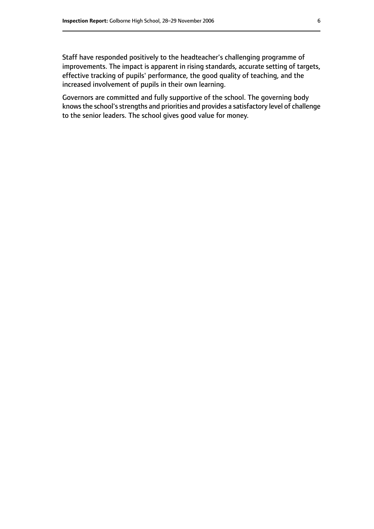Staff have responded positively to the headteacher's challenging programme of improvements. The impact is apparent in rising standards, accurate setting of targets, effective tracking of pupils' performance, the good quality of teaching, and the increased involvement of pupils in their own learning.

Governors are committed and fully supportive of the school. The governing body knowsthe school'sstrengths and priorities and provides a satisfactory level of challenge to the senior leaders. The school gives good value for money.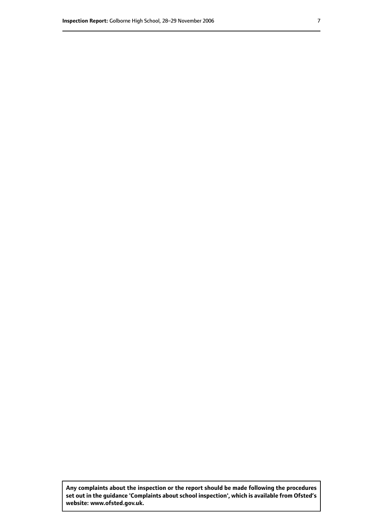**Any complaints about the inspection or the report should be made following the procedures set out inthe guidance 'Complaints about school inspection', whichis available from Ofsted's website: www.ofsted.gov.uk.**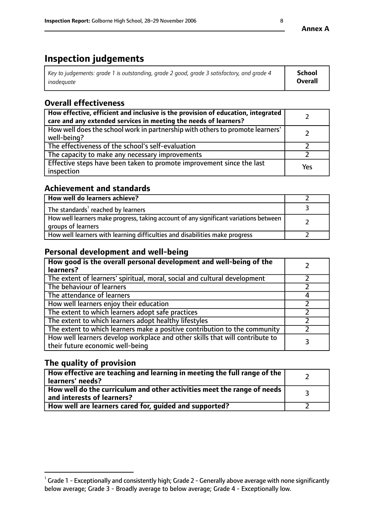# **Inspection judgements**

| Key to judgements: grade 1 is outstanding, grade 2 good, grade 3 satisfactory, and grade 4 | School  |
|--------------------------------------------------------------------------------------------|---------|
| inadeauate                                                                                 | Overall |

# **Overall effectiveness**

| How effective, efficient and inclusive is the provision of education, integrated<br>care and any extended services in meeting the needs of learners? |     |
|------------------------------------------------------------------------------------------------------------------------------------------------------|-----|
| How well does the school work in partnership with others to promote learners'<br>well-being?                                                         |     |
| The effectiveness of the school's self-evaluation                                                                                                    |     |
| The capacity to make any necessary improvements                                                                                                      |     |
| Effective steps have been taken to promote improvement since the last<br>inspection                                                                  | Yes |

## **Achievement and standards**

| How well do learners achieve?                                                                               |  |
|-------------------------------------------------------------------------------------------------------------|--|
| The standards <sup>1</sup> reached by learners                                                              |  |
| How well learners make progress, taking account of any significant variations between<br>groups of learners |  |
| How well learners with learning difficulties and disabilities make progress                                 |  |

# **Personal development and well-being**

| How good is the overall personal development and well-being of the<br>learners?                                  |   |
|------------------------------------------------------------------------------------------------------------------|---|
| The extent of learners' spiritual, moral, social and cultural development                                        |   |
| The behaviour of learners                                                                                        |   |
| The attendance of learners                                                                                       |   |
| How well learners enjoy their education                                                                          |   |
| The extent to which learners adopt safe practices                                                                |   |
| The extent to which learners adopt healthy lifestyles                                                            |   |
| The extent to which learners make a positive contribution to the community                                       |   |
| How well learners develop workplace and other skills that will contribute to<br>their future economic well-being | 3 |

# **The quality of provision**

| How effective are teaching and learning in meeting the full range of the<br>learners' needs?                        |  |
|---------------------------------------------------------------------------------------------------------------------|--|
| $\mid$ How well do the curriculum and other activities meet the range of needs $\mid$<br>and interests of learners? |  |
| How well are learners cared for, guided and supported?                                                              |  |

 $^1$  Grade 1 - Exceptionally and consistently high; Grade 2 - Generally above average with none significantly below average; Grade 3 - Broadly average to below average; Grade 4 - Exceptionally low.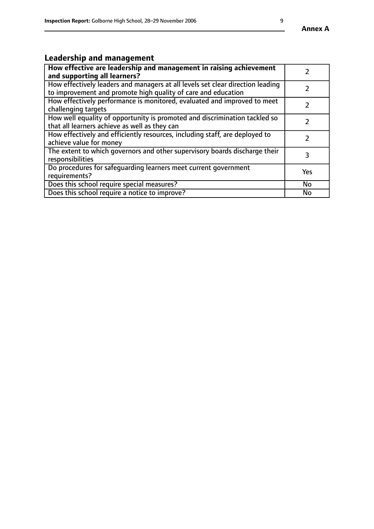# **Leadership and management**

| How effective are leadership and management in raising achievement<br>and supporting all learners?                                              |           |
|-------------------------------------------------------------------------------------------------------------------------------------------------|-----------|
| How effectively leaders and managers at all levels set clear direction leading<br>to improvement and promote high quality of care and education |           |
| How effectively performance is monitored, evaluated and improved to meet<br>challenging targets                                                 |           |
| How well equality of opportunity is promoted and discrimination tackled so<br>that all learners achieve as well as they can                     |           |
| How effectively and efficiently resources, including staff, are deployed to<br>achieve value for money                                          |           |
| The extent to which governors and other supervisory boards discharge their<br>responsibilities                                                  | 3         |
| Do procedures for safequarding learners meet current government<br>requirements?                                                                | Yes       |
| Does this school require special measures?                                                                                                      | <b>No</b> |
| Does this school require a notice to improve?                                                                                                   | No        |